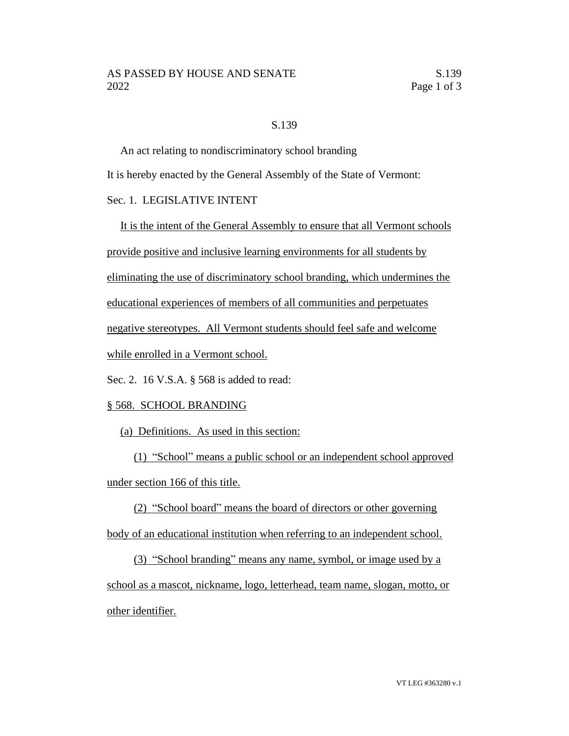## S.139

An act relating to nondiscriminatory school branding

It is hereby enacted by the General Assembly of the State of Vermont:

## Sec. 1. LEGISLATIVE INTENT

It is the intent of the General Assembly to ensure that all Vermont schools provide positive and inclusive learning environments for all students by eliminating the use of discriminatory school branding, which undermines the educational experiences of members of all communities and perpetuates negative stereotypes. All Vermont students should feel safe and welcome while enrolled in a Vermont school.

Sec. 2. 16 V.S.A. § 568 is added to read:

## § 568. SCHOOL BRANDING

(a) Definitions. As used in this section:

(1) "School" means a public school or an independent school approved under section 166 of this title.

(2) "School board" means the board of directors or other governing body of an educational institution when referring to an independent school.

(3) "School branding" means any name, symbol, or image used by a school as a mascot, nickname, logo, letterhead, team name, slogan, motto, or other identifier.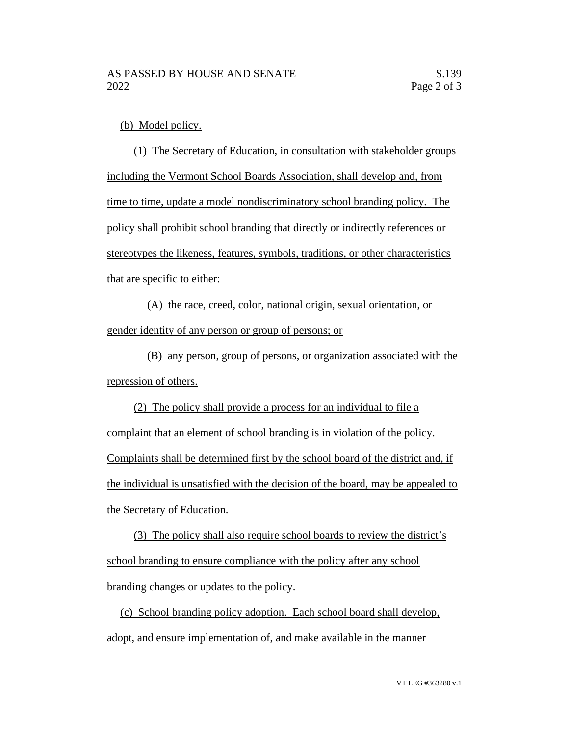(b) Model policy.

(1) The Secretary of Education, in consultation with stakeholder groups including the Vermont School Boards Association, shall develop and, from time to time, update a model nondiscriminatory school branding policy. The policy shall prohibit school branding that directly or indirectly references or stereotypes the likeness, features, symbols, traditions, or other characteristics that are specific to either:

(A) the race, creed, color, national origin, sexual orientation, or gender identity of any person or group of persons; or

(B) any person, group of persons, or organization associated with the repression of others.

(2) The policy shall provide a process for an individual to file a complaint that an element of school branding is in violation of the policy. Complaints shall be determined first by the school board of the district and, if the individual is unsatisfied with the decision of the board, may be appealed to the Secretary of Education.

(3) The policy shall also require school boards to review the district's school branding to ensure compliance with the policy after any school branding changes or updates to the policy.

(c) School branding policy adoption. Each school board shall develop, adopt, and ensure implementation of, and make available in the manner